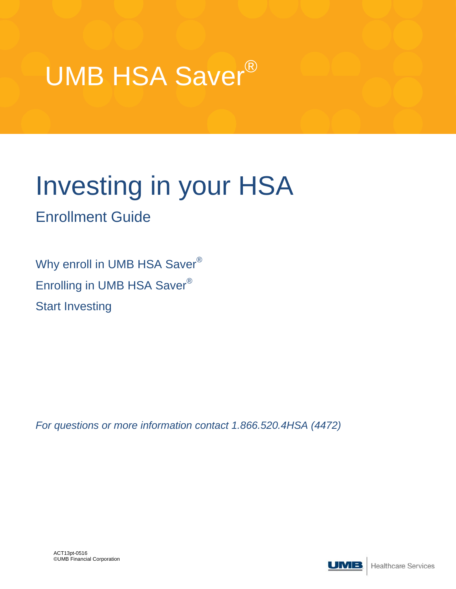

# Investing in your HSA

### Enrollment Guide

Why enroll in UMB HSA Saver® Enrolling in UMB HSA Saver® Start Investing

*For questions or more information contact 1.866.520.4HSA (4472)*

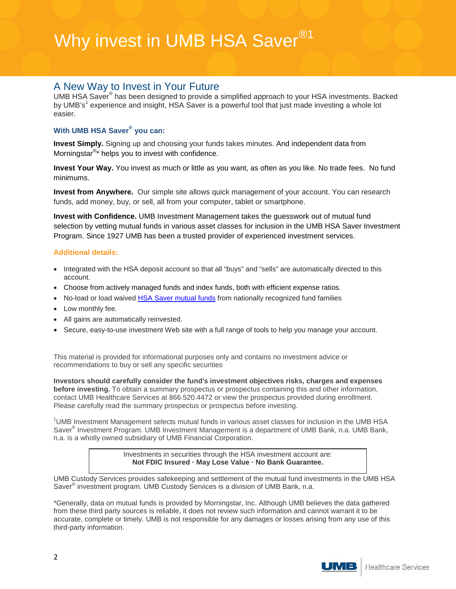### Why invest in UMB HSA Saver<sup>®1</sup>

### A New Way to Invest in Your Future

UMB HSA Saver® has been designed to provide a simplified approach to your HSA investments. Backed by UMB's<sup>1</sup> experience and insight, HSA Saver is a powerful tool that just made investing a whole lot easier.

#### **With UMB HSA Saver® you can:**

**Invest Simply.** Signing up and choosing your funds takes minutes. And independent data from Morningstar<sup>®\*</sup> helps you to invest with confidence.

**Invest Your Way.** You invest as much or little as you want, as often as you like. No trade fees. No fund minimums.

**Invest from Anywhere.** Our simple site allows quick management of your account. You can research funds, add money, buy, or sell, all from your computer, tablet or smartphone.

**Invest with Confidence.** UMB Investment Management takes the guesswork out of mutual fund selection by vetting mutual funds in various asset classes for inclusion in the UMB HSA Saver Investment Program. Since 1927 UMB has been a trusted provider of experienced investment services.

#### **Additional details:**

- Integrated with the HSA deposit account so that all "buys" and "sells" are automatically directed to this account.
- Choose from actively managed funds and index funds, both with efficient expense ratios.
- No-load or load waived [HSA Saver mutual funds](https://hsa.umb.com/groups/public/documents/web_content/069739.pdf) from nationally recognized fund families
- Low monthly fee.
- All gains are automatically reinvested.
- Secure, easy-to-use investment Web site with a full range of tools to help you manage your account.

This material is provided for informational purposes only and contains no investment advice or recommendations to buy or sell any specific securities

**Investors should carefully consider the fund's investment objectives risks, charges and expenses before investing.** To obtain a summary prospectus or prospectus containing this and other information, contact UMB Healthcare Services at 866.520.4472 or view the prospectus provided during enrollment. Please carefully read the summary prospectus or prospectus before investing.

<sup>1</sup>UMB Investment Management selects mutual funds in various asset classes for inclusion in the UMB HSA Saver® Investment Program. UMB Investment Management is a department of UMB Bank, n.a. UMB Bank, n.a. is a wholly owned subsidiary of UMB Financial Corporation.

> Investments in securities through the HSA investment account are: **Not FDIC Insured · May Lose Value · No Bank Guarantee.**

UMB Custody Services provides safekeeping and settlement of the mutual fund investments in the UMB HSA Saver® investment program. UMB Custody Services is a division of UMB Bank, n.a.

\*Generally, data on mutual funds is provided by Morningstar, Inc. Although UMB believes the data gathered from these third party sources is reliable, it does not review such information and cannot warrant it to be accurate, complete or timely. UMB is not responsible for any damages or losses arising from any use of this third-party information.

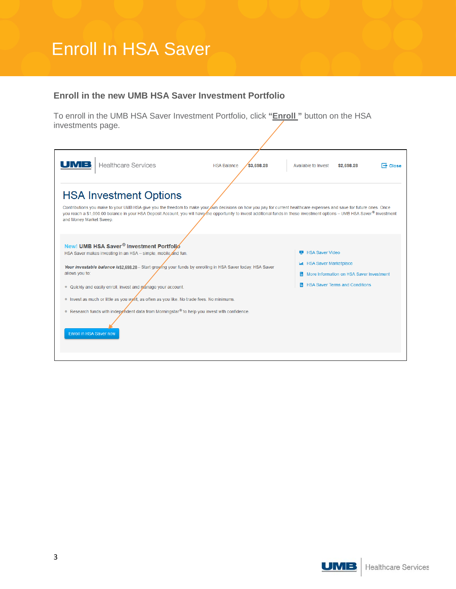## Enroll In HSA Saver

#### **Enroll in the new UMB HSA Saver Investment Portfolio**

To enroll in the UMB HSA Saver Investment Portfolio, click **"Enroll "** button on the HSA investments page.

| UMB<br><b>Healthcare Services</b>                                                                                                                                                                                                                                                                                                                                                                                                                                                                                                                           | <b>HSA Balance</b><br>\$3,698.28 | Available to Invest                                        | \$2,698.28                                                                  | $\rightarrow$ Close |
|-------------------------------------------------------------------------------------------------------------------------------------------------------------------------------------------------------------------------------------------------------------------------------------------------------------------------------------------------------------------------------------------------------------------------------------------------------------------------------------------------------------------------------------------------------------|----------------------------------|------------------------------------------------------------|-----------------------------------------------------------------------------|---------------------|
| <b>HSA Investment Options</b>                                                                                                                                                                                                                                                                                                                                                                                                                                                                                                                               |                                  |                                                            |                                                                             |                     |
| Contributions you make to your UMB HSA give you the freedom to make your own decisions on how you pay for current healthcare expenses and save for future ones. Once<br>you reach a \$1,000.00 balance in your HSA Deposit Account, you will have the opportunity to invest additional funds in these investment options - UMB HSA Saver® Investment<br>and Money Market Sweep.                                                                                                                                                                             |                                  |                                                            |                                                                             |                     |
| New! UMB HSA Saver <sup>®</sup> Investment Portfolio<br>HSA Saver makes investing in an HSA - simple, mobile and fun.<br>Your investable balance is \$2,698,28 - Start growing your funds by enrolling in HSA Saver today. HSA Saver<br>allows you to:<br>Quickly and easily enroll, invest and manage your account.<br>۰<br>Invest as much or little as you want, as often as you like. No trade fees. No minimums.<br>● Research funds with independent data from Morningstar <sup>®</sup> to help you invest with confidence.<br>Enroll in HSA Saver now |                                  | <b>HSA Saver Video</b><br><b>LLL</b> HSA Saver Marketplace | More Information on HSA Saver Investment<br>HISA Saver Terms and Conditions |                     |

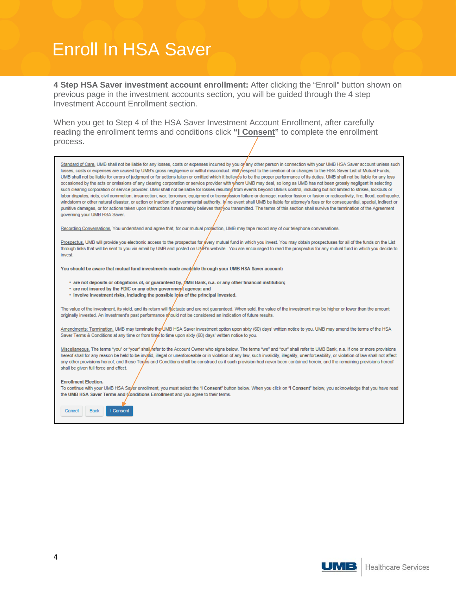### Enroll In HSA Saver

**4 Step HSA Saver investment account enrollment:** After clicking the "Enroll" button shown on previous page in the investment accounts section, you will be guided through the 4 step Investment Account Enrollment section.

When you get to Step 4 of the HSA Saver Investment Account Enrollment, after carefully reading the enrollment terms and conditions click **"I Consent"** to complete the enrollment process.

Standard of Care. UMB shall not be liable for any losses, costs or expenses incurred by you op any other person in connection with your UMB HSA Saver account unless such losses, costs or expenses are caused by UMB's gross negligence or willful misconduct. With/respect to the creation of or changes to the HSA Saver List of Mutual Funds, UMB shall not be liable for errors of judgment or for actions taken or omitted which it believes to be the proper performance of its duties. UMB shall not be liable for any loss occasioned by the acts or omissions of any clearing corporation or service provider with whom UMB may deal, so long as UMB has not been grossly negligent in selecting such clearing corporation or service provider. UMB shall not be liable for losses resulting from events beyond UMB's control, including but not limited to strikes, lockouts or labor disputes, riots, civil commotion, insurrection, war, terrorism, equipment or transryssion failure or damage, nuclear fission or fusion or radioactivity, fire, flood, earthquake, windstorm or other natural disaster, or action or inaction of governmental authority. In no event shall UMB be liable for attorney's fees or for consequential, special, indirect or punitive damages, or for actions taken upon instructions it reasonably believes that/you transmitted. The terms of this section shall survive the termination of the Agreement governing your UMB HSA Saver. Recording Conversations, You understand and agree that, for our mutual protection, UMB may tape record any of our telephone conversations.

Prospectus. UMB will provide you electronic access to the prospectus for every mutual fund in which you invest. You may obtain prospectuses for all of the funds on the List through links that will be sent to you via email by UMB and posted on UMB's website. You are encouraged to read the prospectus for any mutual fund in which you decide to invest

You should be aware that mutual fund investments made available through your UMB HSA Saver account:

- are not deposits or obligations of, or guaranteed by, JOMB Bank, n.a. or any other financial institution;
- are not insured by the FDIC or any other government agency; and
- involve investment risks, including the possible loss of the principal invested.

The value of the investment, its yield, and its return will figctuate and are not quaranteed. When sold, the value of the investment may be higher or lower than the amount originally invested. An investment's past performance should not be considered an indication of future results.

Amendments; Termination, UMB may terminate the UMB HSA Saver investment option upon sixty (60) days' written notice to you. UMB may amend the terms of the HSA Saver Terms & Conditions at any time or from time to time upon sixty (60) days' written notice to you.

Miscellaneous. The terms "you" or "your" shall/refer to the Account Owner who signs below. The terms "we" and "our" shall refer to UMB Bank, n.a. If one or more provisions hereof shall for any reason be held to be invalid, illegal or unenforceable or in violation of any law, such invalidity, illegality, unenforceability, or violation of law shall not affect any other provisions hereof, and these Terms and Conditions shall be construed as it such provision had never been contained herein, and the remaining provisions hereof shall be given full force and effect.

#### **Enrollment Election.**

To continue with your UMB HSA Sayer enrollment, you must select the "I Consent" button below. When you click on "I Consent" below, you acknowledge that you have read the UMB HSA Saver Terms and Conditions Enrollment and you agree to their terms.